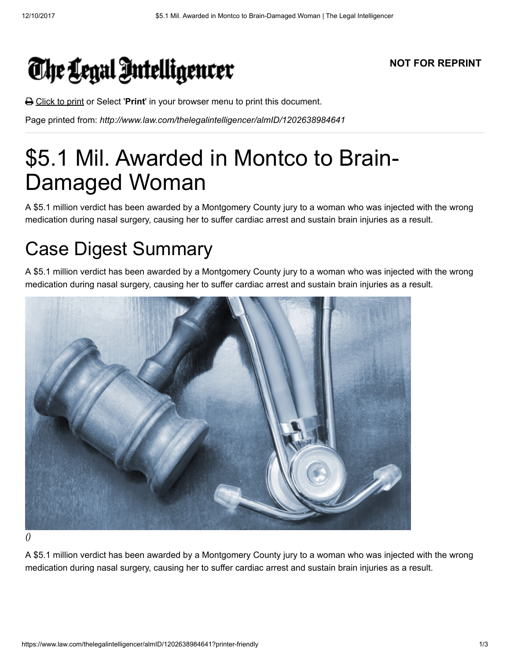## The Legal Intelligencer

## NOT FOR REPRINT

**△** Click to print or Select 'Print' in your browser menu to print this document.

Page printed from: http://www.law.com/thelegalintelligencer/almID/1202638984641

## \$5.1 Mil. Awarded in Montco to Brain-Damaged Woman

A \$5.1 million verdict has been awarded by a Montgomery County jury to a woman who was injected with the wrong medication during nasal surgery, causing her to suffer cardiac arrest and sustain brain injuries as a result.

## Case Digest Summary

A \$5.1 million verdict has been awarded by a Montgomery County jury to a woman who was injected with the wrong medication during nasal surgery, causing her to suffer cardiac arrest and sustain brain injuries as a result.



()

A \$5.1 million verdict has been awarded by a Montgomery County jury to a woman who was injected with the wrong medication during nasal surgery, causing her to suffer cardiac arrest and sustain brain injuries as a result.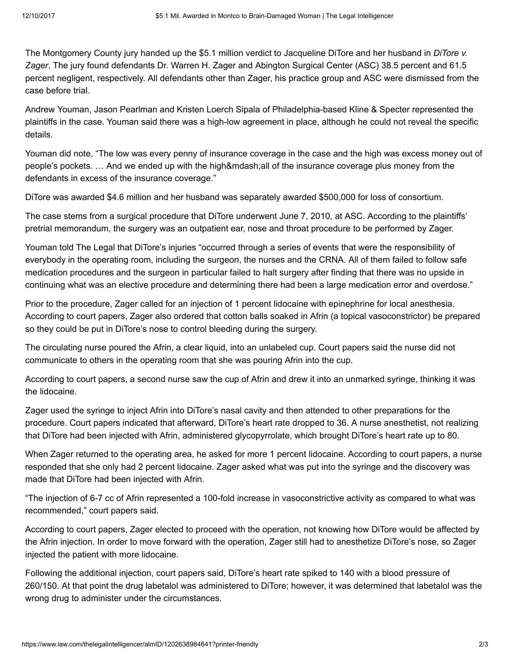The Montgomery County jury handed up the \$5.1 million verdict to Jacqueline DiTore and her husband in *DiTore v.* Zager. The jury found defendants Dr. Warren H. Zager and Abington Surgical Center (ASC) 38.5 percent and 61.5 percent negligent, respectively. All defendants other than Zager, his practice group and ASC were dismissed from the case before trial.

Andrew Youman, Jason Pearlman and Kristen Loerch Sipala of Philadelphia-based Kline & Specter represented the plaintiffs in the case. Youman said there was a high-low agreement in place, although he could not reveal the specific details.

Youman did note, "The low was every penny of insurance coverage in the case and the high was excess money out of people's pockets. ... And we ended up with the high—all of the insurance coverage plus money from the defendants in excess of the insurance coverage."

DiTore was awarded \$4.6 million and her husband was separately awarded \$500,000 for loss of consortium.

The case stems from a surgical procedure that DiTore underwent June 7, 2010, at ASC. According to the plaintiffs' pretrial memorandum, the surgery was an outpatient ear, nose and throat procedure to be performed by Zager.

Youman told The Legal that DiTore's injuries "occurred through a series of events that were the responsibility of everybody in the operating room, including the surgeon, the nurses and the CRNA. All of them failed to follow safe medication procedures and the surgeon in particular failed to halt surgery after finding that there was no upside in continuing what was an elective procedure and determining there had been a large medication error and overdose."

Prior to the procedure, Zager called for an injection of 1 percent lidocaine with epinephrine for local anesthesia. According to court papers, Zager also ordered that cotton balls soaked in Afrin (a topical vasoconstrictor) be prepared so they could be put in DiTore's nose to control bleeding during the surgery.

The circulating nurse poured the Afrin, a clear liquid, into an unlabeled cup. Court papers said the nurse did not communicate to others in the operating room that she was pouring Afrin into the cup.

According to court papers, a second nurse saw the cup of Afrin and drew it into an unmarked syringe, thinking it was the lidocaine.

Zager used the syringe to inject Afrin into DiTore's nasal cavity and then attended to other preparations for the procedure. Court papers indicated that afterward, DiTore's heart rate dropped to 36. A nurse anesthetist, not realizing that DiTore had been injected with Afrin, administered glycopyrrolate, which brought DiTore's heart rate up to 80.

When Zager returned to the operating area, he asked for more 1 percent lidocaine. According to court papers, a nurse responded that she only had 2 percent lidocaine. Zager asked what was put into the syringe and the discovery was made that DiTore had been injected with Afrin.

"The injection of 6-7 cc of Afrin represented a 100-fold increase in vasoconstrictive activity as compared to what was recommended," court papers said.

According to court papers, Zager elected to proceed with the operation, not knowing how DiTore would be affected by the Afrin injection. In order to move forward with the operation, Zager still had to anesthetize DiTore's nose, so Zager injected the patient with more lidocaine.

Following the additional injection, court papers said, DiTore's heart rate spiked to 140 with a blood pressure of 260/150. At that point the drug labetalol was administered to DiTore; however, it was determined that labetalol was the wrong drug to administer under the circumstances.